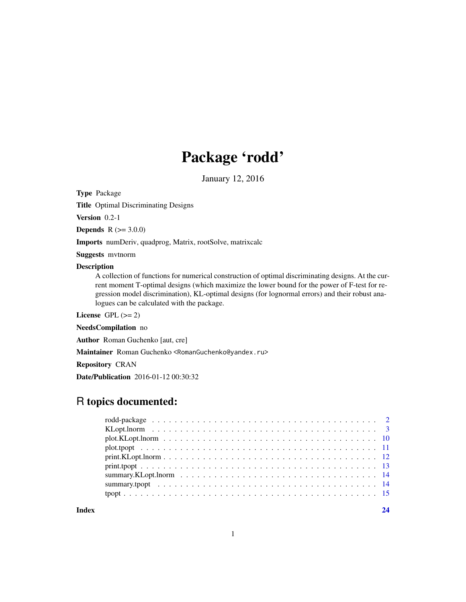## Package 'rodd'

January 12, 2016

Type Package

Title Optimal Discriminating Designs

Version 0.2-1

**Depends** R  $(>= 3.0.0)$ 

Imports numDeriv, quadprog, Matrix, rootSolve, matrixcalc

Suggests mvtnorm

## Description

A collection of functions for numerical construction of optimal discriminating designs. At the current moment T-optimal designs (which maximize the lower bound for the power of F-test for regression model discrimination), KL-optimal designs (for lognormal errors) and their robust analogues can be calculated with the package.

License GPL  $(>= 2)$ 

NeedsCompilation no

Author Roman Guchenko [aut, cre]

Maintainer Roman Guchenko <RomanGuchenko@yandex.ru>

Repository CRAN

Date/Publication 2016-01-12 00:30:32

## R topics documented:

**Index** [24](#page-23-0)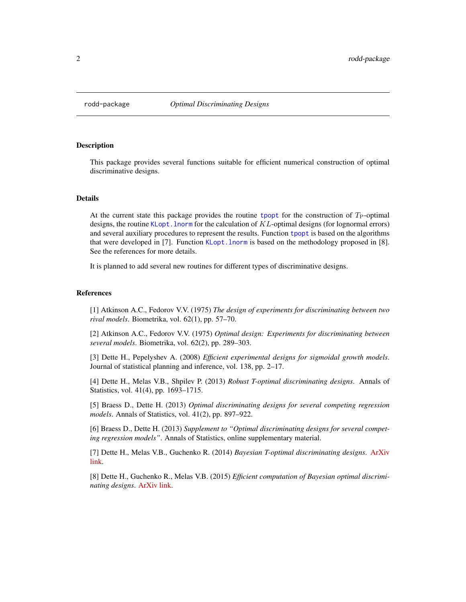<span id="page-1-0"></span>

#### Description

This package provides several functions suitable for efficient numerical construction of optimal discriminative designs.

#### Details

At the current state this package provides the routine [tpopt](#page-14-1) for the construction of  $T_{\rm P}$ -optimal designs, the routine KLopt. lnorm for the calculation of  $KL$ -optimal designs (for lognormal errors) and several auxiliary procedures to represent the results. Function [tpopt](#page-14-1) is based on the algorithms that were developed in [7]. Function [KLopt.lnorm](#page-2-1) is based on the methodology proposed in [8]. See the references for more details.

It is planned to add several new routines for different types of discriminative designs.

## References

[1] Atkinson A.C., Fedorov V.V. (1975) *The design of experiments for discriminating between two rival models*. Biometrika, vol. 62(1), pp. 57–70.

[2] Atkinson A.C., Fedorov V.V. (1975) *Optimal design: Experiments for discriminating between several models*. Biometrika, vol. 62(2), pp. 289–303.

[3] Dette H., Pepelyshev A. (2008) *Efficient experimental designs for sigmoidal growth models*. Journal of statistical planning and inference, vol. 138, pp. 2–17.

[4] Dette H., Melas V.B., Shpilev P. (2013) *Robust T-optimal discriminating designs*. Annals of Statistics, vol. 41(4), pp. 1693–1715.

[5] Braess D., Dette H. (2013) *Optimal discriminating designs for several competing regression models*. Annals of Statistics, vol. 41(2), pp. 897–922.

[6] Braess D., Dette H. (2013) *Supplement to "Optimal discriminating designs for several competing regression models"*. Annals of Statistics, online supplementary material.

[7] Dette H., Melas V.B., Guchenko R. (2014) *Bayesian T-optimal discriminating designs*. [ArXiv](http://arxiv.org/abs/1412.2548) [link.](http://arxiv.org/abs/1412.2548)

[8] Dette H., Guchenko R., Melas V.B. (2015) *Efficient computation of Bayesian optimal discriminating designs*. [ArXiv link.](http://arxiv.org/abs/1508.00279)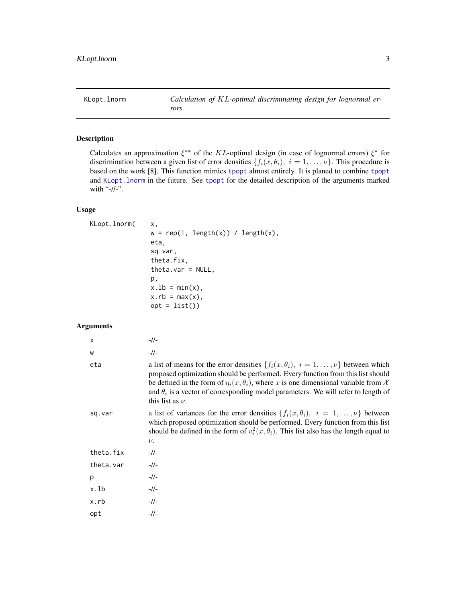<span id="page-2-1"></span><span id="page-2-0"></span>

## Description

Calculates an approximation  $\xi^{**}$  of the KL-optimal design (in case of lognormal errors)  $\xi^*$  for discrimination between a given list of error densities  $\{f_i(x, \theta_i), i = 1, \ldots, \nu\}$ . This procedure is based on the work [8]. This function mimics [tpopt](#page-14-1) almost entirely. It is planed to combine [tpopt](#page-14-1) and [KLopt.lnorm](#page-2-1) in the future. See [tpopt](#page-14-1) for the detailed description of the arguments marked with "-//-".

## Usage

```
KLopt.lnorm(x,
               w = rep(1, length(x)) / length(x),eta,
               sq.var,
               theta.fix,
               theta.var = NULL,p,
               x.1b = min(x),
               x.rb = max(x),
               opt = list()
```
## Arguments

| $\times$  | $-1/$                                                                                                                                                                                                                                                                                                                                                                                             |
|-----------|---------------------------------------------------------------------------------------------------------------------------------------------------------------------------------------------------------------------------------------------------------------------------------------------------------------------------------------------------------------------------------------------------|
| W         | $-1/$                                                                                                                                                                                                                                                                                                                                                                                             |
| eta       | a list of means for the error densities $\{f_i(x, \theta_i), i = 1, , \nu\}$ between which<br>proposed optimization should be performed. Every function from this list should<br>be defined in the form of $\eta_i(x, \theta_i)$ , where x is one dimensional variable from X<br>and $\theta_i$ is a vector of corresponding model parameters. We will refer to length of<br>this list as $\nu$ . |
| sq.var    | a list of variances for the error densities $\{f_i(x, \theta_i), i = 1, , \nu\}$ between<br>which proposed optimization should be performed. Every function from this list<br>should be defined in the form of $v_i^2(x, \theta_i)$ . This list also has the length equal to<br>$\nu$ .                                                                                                           |
| theta.fix | $-1/$                                                                                                                                                                                                                                                                                                                                                                                             |
| theta.var | $-11-$                                                                                                                                                                                                                                                                                                                                                                                            |
| p         | $-1/$                                                                                                                                                                                                                                                                                                                                                                                             |
| x.lb      | $-1/$                                                                                                                                                                                                                                                                                                                                                                                             |
| x.rb      | $-1/$                                                                                                                                                                                                                                                                                                                                                                                             |
| opt       | $-1/$                                                                                                                                                                                                                                                                                                                                                                                             |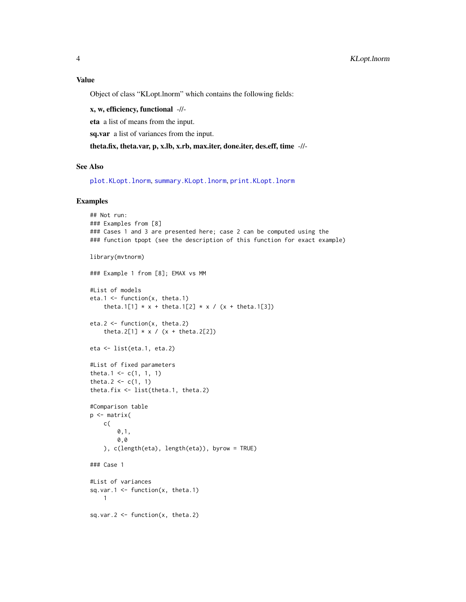<span id="page-3-0"></span>Object of class "KLopt.lnorm" which contains the following fields:

x, w, efficiency, functional -//-

eta a list of means from the input.

sq.var a list of variances from the input.

theta.fix, theta.var, p, x.lb, x.rb, max.iter, done.iter, des.eff, time -//-

#### See Also

[plot.KLopt.lnorm](#page-9-1), [summary.KLopt.lnorm](#page-13-1), [print.KLopt.lnorm](#page-11-1)

## Examples

```
## Not run:
### Examples from [8]
### Cases 1 and 3 are presented here; case 2 can be computed using the
### function tpopt (see the description of this function for exact example)
library(mvtnorm)
### Example 1 from [8]; EMAX vs MM
#List of models
eta.1 <- function(x, theta.1)
    theta.1[1] * x + \text{theta.1}[2] * x / (x + \text{theta.1}[3])eta.2 <- function(x, theta.2)
    theta.2[1] * x / (x + theta.2[2])eta <- list(eta.1, eta.2)
#List of fixed parameters
theta.1 <- c(1, 1, 1)
theta.2 <- c(1, 1)theta.fix <- list(theta.1, theta.2)
#Comparison table
p <- matrix(
    c(
        0,1,
        0,0
    ), c(length(eta), length(eta)), byrow = TRUE)
### Case 1
#List of variances
sq.var.1 \leq function(x, theta.1)
    1
sq.var.2 \le function(x, theta.2)
```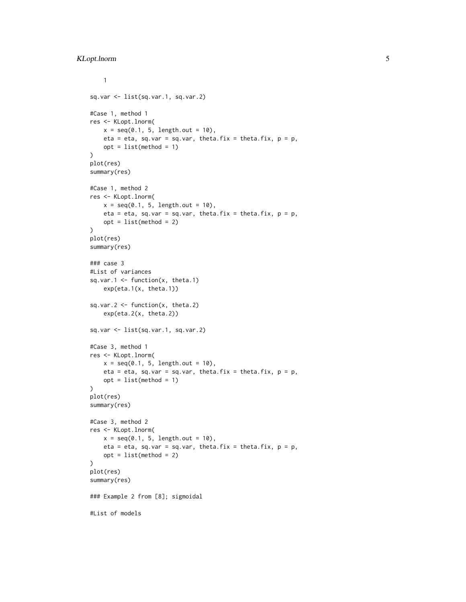```
1
sq.var <- list(sq.var.1, sq.var.2)
#Case 1, method 1
res <- KLopt.lnorm(
   x = \text{seq}(0.1, 5, \text{length.out} = 10),eta = eta, sq.var = sq.var, theta.fix = theta.fix, p = p,
    opt = list(method = 1)\mathcal{L}plot(res)
summary(res)
#Case 1, method 2
res <- KLopt.lnorm(
    x = seq(0.1, 5, length.out = 10),eta = eta, sq.var = sq.var, theta.fix = theta.fix, p = p,
    opt = list(method = 2)\mathcal{L}plot(res)
summary(res)
### case 3
#List of variances
sq.var.1 \leq function(x, theta.1)
    exp(eta.1(x, theta.1))
sq.var.2 \leq function(x, theta.2)
    exp(eta.2(x, theta.2))
sq.var <- list(sq.var.1, sq.var.2)
#Case 3, method 1
res <- KLopt.lnorm(
    x = seq(0.1, 5, length.out = 10),eta = eta, sq.var = sq.var, theta.fix = theta.fix, p = p,
    opt = list(method = 1))
plot(res)
summary(res)
#Case 3, method 2
res <- KLopt.lnorm(
    x = seq(0.1, 5, length.out = 10),eta = eta, sq.var = sq.var, theta.fix = theta.fix, p = p,
    opt = list(method = 2)\mathcal{L}plot(res)
summary(res)
### Example 2 from [8]; sigmoidal
#List of models
```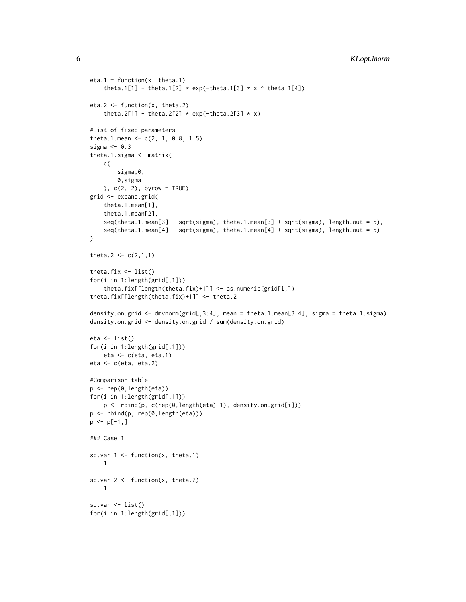```
eta.1 = function(x, theta.1)theta.1[1] - theta.1[2] * exp(-theta.1[3] * x ^ theta.1[4])
eta.2 <- function(x, theta.2)
    theta.2[1] - theta.2[2] * exp(-theta.2[3] * x)
#List of fixed parameters
theta.1.mean \leq c(2, 1, 0.8, 1.5)sigma <-0.3theta.1.sigma <- matrix(
    c(
        sigma,0,
        0,sigma
    ), c(2, 2), byrow = TRUE)
grid <- expand.grid(
    theta.1.mean[1],
    theta.1.mean[2],
    seq(theta.1.mean[3] - sqrt(sigma), theta.1.mean[3] + sqrt(sigma), length.out = 5),
    seq(theta.1.mean[4] - sqrt(sigma), theta.1.mean[4] + sqrt(sigma), length.out = 5)
\lambdatheta.2 <- c(2,1,1)theta.fix <- list()
for(i in 1:length(grid[,1]))
    theta.fix[[length(theta.fix)+1]] <- as.numeric(grid[i,])
theta.fix[[length(theta.fix)+1]] <- theta.2
density.on.grid <- dmvnorm(grid[,3:4], mean = theta.1.mean[3:4], sigma = theta.1.sigma)
density.on.grid <- density.on.grid / sum(density.on.grid)
eta <- list()
for(i in 1:length(grid[,1]))
    eta <- c(eta, eta.1)
eta <- c(eta, eta.2)
#Comparison table
p <- rep(0,length(eta))
for(i in 1:length(grid[,1]))
    p <- rbind(p, c(rep(0,length(eta)-1), density.on.grid[i]))
p <- rbind(p, rep(0,length(eta)))
p \leftarrow p[-1, 1]### Case 1
sq.var.1 \le function(x, theta.1)
   1
sq.var.2 \leftarrow function(x, theta.2)
   1
sq.var \leftarrow list()
for(i in 1:length(grid[,1]))
```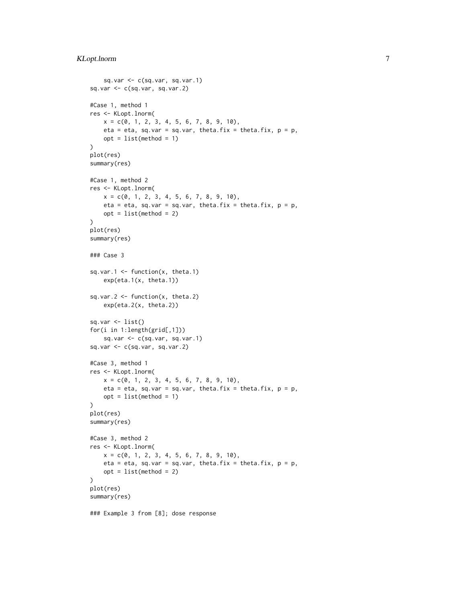```
sq.var \leq c(sq.var, sq.var.1)
sq.var <- c(sq.var, sq.var.2)
#Case 1, method 1
res <- KLopt.lnorm(
   x = c(0, 1, 2, 3, 4, 5, 6, 7, 8, 9, 10),eta = eta, sq.var = sq.var, theta.fix = theta.fix, p = p,
    opt = list(method = 1)\lambdaplot(res)
summary(res)
#Case 1, method 2
res <- KLopt.lnorm(
    x = c(0, 1, 2, 3, 4, 5, 6, 7, 8, 9, 10),eta = eta, sq.var = sq.var, theta.fix = theta.fix, p = p,
    opt = list(method = 2)
\mathcal{L}plot(res)
summary(res)
### Case 3
sq.var.1 \leq function(x, theta.1)
    exp(eta.1(x, theta.1))
sq.var.2 \leq function(x, theta.2)
    exp(eta.2(x, theta.2))
sq.var \leftarrow list()for(i in 1:length(grid[,1]))
    sq.var <- c(sq.var, sq.var.1)
sq.var <- c(sq.var, sq.var.2)
#Case 3, method 1
res <- KLopt.lnorm(
    x = c(0, 1, 2, 3, 4, 5, 6, 7, 8, 9, 10),eta = eta, sq.var = sq.var, theta.fix = theta.fix, p = p,
    opt = list(method = 1))
plot(res)
summary(res)
#Case 3, method 2
res <- KLopt.lnorm(
    x = c(0, 1, 2, 3, 4, 5, 6, 7, 8, 9, 10),eta = eta, sq.var = sq.var, theta.fix = theta.fix, p = p,
    opt = list(method = 2)\lambdaplot(res)
summary(res)
### Example 3 from [8]; dose response
```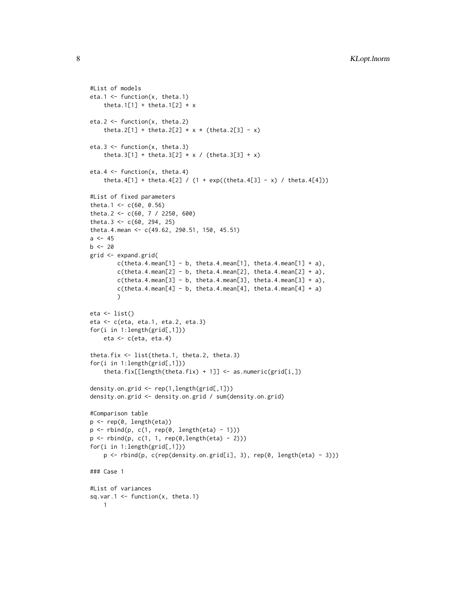```
#List of models
eta.1 <- function(x, theta.1)
    theta.1[1] + theta.1[2] \star x
eta.2 <- function(x, theta.2)
    theta.2[1] + theta.2[2] * x * (theta.2[3] - x)
eta.3 <- function(x, theta.3)
    theta.3[1] + theta.3[2] * x / (theta.3[3] + x)
eta.4 \leftarrow function(x, theta.4)
    theta.4[1] + theta.4[2] / (1 + \exp((theta.4[3] - x) /theta.4[4]))#List of fixed parameters
theta.1 <- c(60, 0.56)
theta.2 <- c(60, 7 / 2250, 600)
theta.3 <- c(60, 294, 25)
theta.4.mean <- c(49.62, 290.51, 150, 45.51)
a < -45b \le -20grid <- expand.grid(
        c(theta.4.mean[1] - b, theta.4.mean[1], theta.4.mean[1] + a),c(theta.4.mean[2] - b, theta.4.mean[2], theta.4.mean[2] + a),c(theta.4.mean[3] - b, theta.4.mean[3], theta.4.mean[3] + a),c(theta.4.mean[4] - b, theta.4.mean[4], theta.4.mean[4] + a))
eta <- list()
eta <- c(eta, eta.1, eta.2, eta.3)
for(i in 1:length(grid[,1]))
    eta <- c(eta, eta.4)
theta.fix <- list(theta.1, theta.2, theta.3)
for(i in 1:length(grid[,1]))
    theta.fix[[length(theta.fix) + 1]] <- as.numeric(grid[i,])
density.on.grid <- rep(1,length(grid[,1]))
density.on.grid <- density.on.grid / sum(density.on.grid)
#Comparison table
p <- rep(0, length(eta))
p <- rbind(p, c(1, rep(0, length(eta) - 1)))
p <- rbind(p, c(1, 1, rep(0,length(eta) - 2)))
for(i in 1:length(grid[,1]))
    p \leftarrow \text{rbind}(p, c(\text{rep}(density,on.grid[i], 3), rep(0, length(eta) - 3)))### Case 1
#List of variances
sq.var.1 \leq function(x, theta.1)
   1
```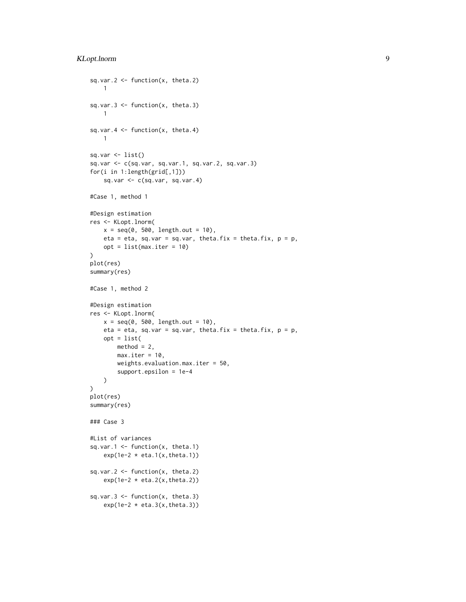```
sq.var.2 \le function(x, theta.2)
   1
sq.var.3 \leq function(x, theta.3)
   1
sq.var.4 \leq function(x, theta.4)
    1
sq.var <- list()
sq.var <- c(sq.var, sq.var.1, sq.var.2, sq.var.3)
for(i in 1:length(grid[,1]))
    sq.var \leftarrow c(sq.var, sq.var.4)#Case 1, method 1
#Design estimation
res <- KLopt.lnorm(
   x = seq(0, 500, length.out = 10),
    eta = eta, sq.var = sq.var, theta.fix = theta.fix, p = p,
    opt = list(max.iter = 10)
\lambdaplot(res)
summary(res)
#Case 1, method 2
#Design estimation
res <- KLopt.lnorm(
    x = seq(0, 500, length.out = 10),
    eta = eta, sq.var = sq.var, theta.fix = theta.fix, p = p,
    opt = list(method = 2,max.iter = 10,
        weights.evaluation.max.iter = 50,
        support.epsilon = 1e-4
    )
)
plot(res)
summary(res)
### Case 3
#List of variances
sq.var.1 \leq function(x, theta.1)
    exp(1e-2 * eta.1(x, theta.1))sq.var.2 \leq function(x, theta.2)
    exp(1e-2 * eta.2(x, theta.2))sq.var.3 \leq function(x, theta.3)
    exp(1e-2 * eta.3(x, theta.3))
```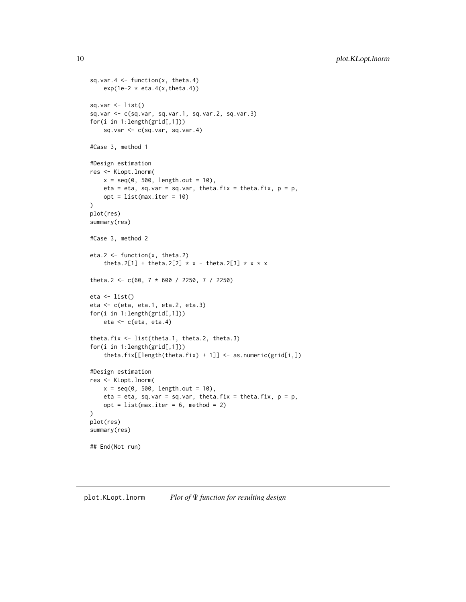```
sq.var.4 \leq function(x, theta.4)
    exp(1e-2 \times eta.4(x, theta.4))sq.var \leftarrow list()sq.var <- c(sq.var, sq.var.1, sq.var.2, sq.var.3)
for(i in 1:length(grid[,1]))
    sq.var \leftarrow c(sq.var, sq.var.4)#Case 3, method 1
#Design estimation
res <- KLopt.lnorm(
    x = seq(0, 500, length.out = 10),
    eta = eta, sq.var = sq.var, theta.fix = theta.fix, p = p,
    opt = list(max.iter = 10))
plot(res)
summary(res)
#Case 3, method 2
eta.2 <- function(x, theta.2)
    theta.2[1] + theta.2[2] * x - theta.2[3] * x * x
theta.2 <- c(60, 7 * 600 / 2250, 7 / 2250)
eta <- list()
eta <- c(eta, eta.1, eta.2, eta.3)
for(i in 1:length(grid[,1]))
    eta <- c(eta, eta.4)
theta.fix <- list(theta.1, theta.2, theta.3)
for(i in 1:length(grid[,1]))
    theta.fix[[length(theta.fix) + 1]] <- as.numeric(grid[i,])
#Design estimation
res <- KLopt.lnorm(
    x = seq(0, 500, length.out = 10),
    eta = eta, sq.var = sq.var, theta.fix = theta.fix, p = p,
    opt = list(max.iter = 6, method = 2)\lambdaplot(res)
summary(res)
## End(Not run)
```
<span id="page-9-1"></span>plot.KLopt.lnorm *Plot of* Ψ *function for resulting design*

<span id="page-9-0"></span>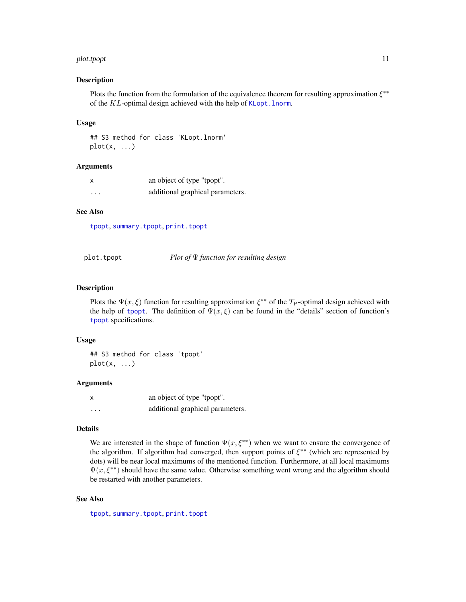#### <span id="page-10-0"></span>plot.tpopt 11

#### Description

Plots the function from the formulation of the equivalence theorem for resulting approximation  $\xi^{**}$ of the KL-optimal design achieved with the help of [KLopt.lnorm](#page-2-1).

#### Usage

## S3 method for class 'KLopt.lnorm'  $plot(x, \ldots)$ 

## Arguments

| X        | an object of type "tpopt".       |
|----------|----------------------------------|
| $\cdots$ | additional graphical parameters. |

## See Also

[tpopt](#page-14-1), [summary.tpopt](#page-13-2), [print.tpopt](#page-12-1)

<span id="page-10-1"></span>plot.tpopt *Plot of* Ψ *function for resulting design*

## Description

Plots the  $\Psi(x,\xi)$  function for resulting approximation  $\xi^{**}$  of the T<sub>P</sub>-optimal design achieved with the help of [tpopt](#page-14-1). The definition of  $\Psi(x,\xi)$  can be found in the "details" section of function's [tpopt](#page-14-1) specifications.

#### Usage

## S3 method for class 'tpopt'  $plot(x, \ldots)$ 

#### Arguments

| x | an object of type "tpopt".       |
|---|----------------------------------|
| . | additional graphical parameters. |

#### Details

We are interested in the shape of function  $\Psi(x, \xi^{**})$  when we want to ensure the convergence of the algorithm. If algorithm had converged, then support points of  $\xi^{**}$  (which are represented by dots) will be near local maximums of the mentioned function. Furthermore, at all local maximums  $\Psi(x, \xi^{**})$  should have the same value. Otherwise something went wrong and the algorithm should be restarted with another parameters.

#### See Also

[tpopt](#page-14-1), [summary.tpopt](#page-13-2), [print.tpopt](#page-12-1)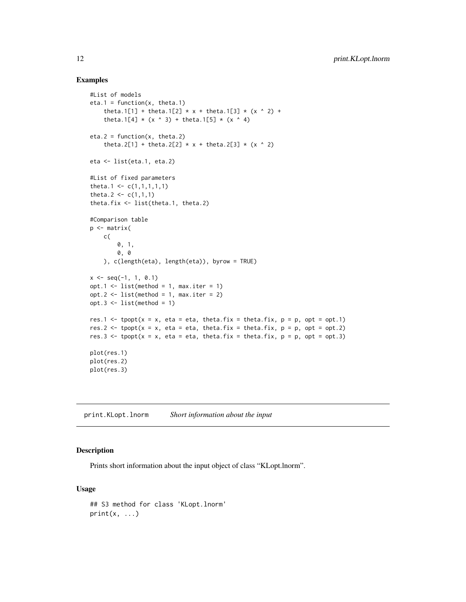## Examples

```
#List of models
eta.1 = function(x, \text{ theta.1})theta.1[1] + theta.1[2] * x + theta.1[3] * (x ^ 2) +
    theta.1[4] * (x \land 3) + \text{theta.1}[5] * (x \land 4)eta.2 = function(x, theta.2)theta.2[1] + theta.2[2] * x + theta.2[3] * (x ^ 2)
eta <- list(eta.1, eta.2)
#List of fixed parameters
theta.1 <- c(1,1,1,1,1)theta.2 <- c(1,1,1)theta.fix <- list(theta.1, theta.2)
#Comparison table
p <- matrix(
    c(
        0, 1,
        0, 0
    ), c(length(eta), length(eta)), byrow = TRUE)
x \leq -\text{seq}(-1, 1, 0.1)opt.1 \le list(method = 1, max.iter = 1)
opt.2 \leq 1ist(method = 1, max.iter = 2)
opt.3 \leq 1ist(method = 1)res.1 <- tpopt(x = x, eta = eta, theta.fix = theta.fix, p = p, opt = opt.1)
res.2 \le tpopt(x = x, eta = eta, theta.fix = theta.fix, p = p, opt = opt.2)
res.3 <- tpopt(x = x, eta = eta, theta.fix = theta.fix, p = p, opt = opt.3)
plot(res.1)
plot(res.2)
plot(res.3)
```
<span id="page-11-1"></span>print.KLopt.lnorm *Short information about the input*

## Description

Prints short information about the input object of class "KLopt.lnorm".

## Usage

```
## S3 method for class 'KLopt.lnorm'
print(x, \ldots)
```
<span id="page-11-0"></span>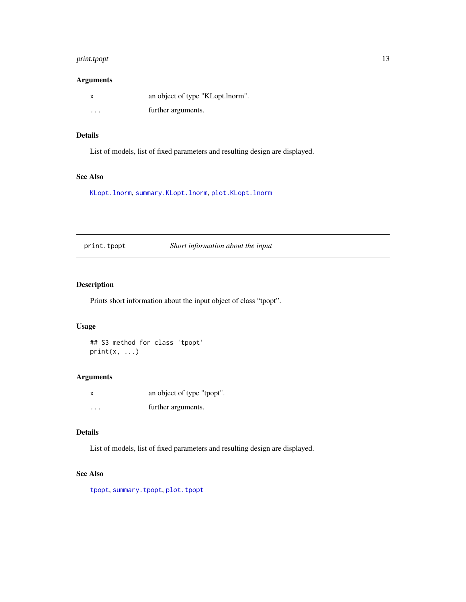## <span id="page-12-0"></span>print.tpopt 13

## Arguments

| x        | an object of type "KLopt.lnorm". |
|----------|----------------------------------|
| $\cdots$ | further arguments.               |

## Details

List of models, list of fixed parameters and resulting design are displayed.

## See Also

[KLopt.lnorm](#page-2-1), [summary.KLopt.lnorm](#page-13-1), [plot.KLopt.lnorm](#page-9-1)

<span id="page-12-1"></span>print.tpopt *Short information about the input*

## Description

Prints short information about the input object of class "tpopt".

## Usage

## S3 method for class 'tpopt'  $print(x, \ldots)$ 

## Arguments

| x | an object of type "tpopt". |
|---|----------------------------|
| . | further arguments.         |

## Details

List of models, list of fixed parameters and resulting design are displayed.

## See Also

[tpopt](#page-14-1), [summary.tpopt](#page-13-2), [plot.tpopt](#page-10-1)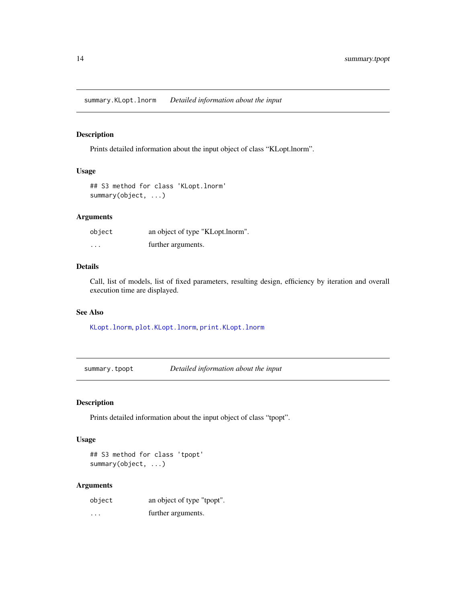<span id="page-13-1"></span><span id="page-13-0"></span>summary.KLopt.lnorm *Detailed information about the input*

## Description

Prints detailed information about the input object of class "KLopt.lnorm".

## Usage

```
## S3 method for class 'KLopt.lnorm'
summary(object, ...)
```
## Arguments

| object   | an object of type "KLopt.lnorm". |
|----------|----------------------------------|
| $\cdots$ | further arguments.               |

#### Details

Call, list of models, list of fixed parameters, resulting design, efficiency by iteration and overall execution time are displayed.

## See Also

[KLopt.lnorm](#page-2-1), [plot.KLopt.lnorm](#page-9-1), [print.KLopt.lnorm](#page-11-1)

<span id="page-13-2"></span>summary.tpopt *Detailed information about the input*

## Description

Prints detailed information about the input object of class "tpopt".

## Usage

```
## S3 method for class 'tpopt'
summary(object, ...)
```
## Arguments

| object   | an object of type "tpopt". |
|----------|----------------------------|
| $\cdots$ | further arguments.         |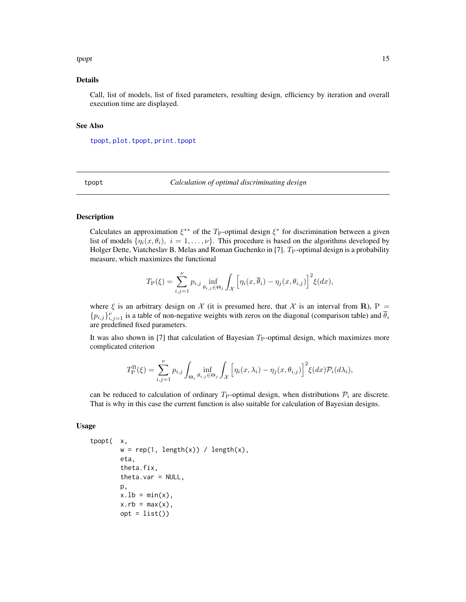#### <span id="page-14-0"></span>tpopt that the state of the state of the state of the state of the state of the state of the state of the state of the state of the state of the state of the state of the state of the state of the state of the state of the

#### Details

Call, list of models, list of fixed parameters, resulting design, efficiency by iteration and overall execution time are displayed.

## See Also

[tpopt](#page-14-1), [plot.tpopt](#page-10-1), [print.tpopt](#page-12-1)

<span id="page-14-1"></span>tpopt *Calculation of optimal discriminating design*

## Description

Calculates an approximation  $\xi^{**}$  of the  $T_P$ -optimal design  $\xi^*$  for discrimination between a given list of models  $\{\eta_i(x, \theta_i), i = 1, \ldots, \nu\}$ . This procedure is based on the algorithms developed by Holger Dette, Viatcheslav B. Melas and Roman Guchenko in [7].  $T_P$ -optimal design is a probability measure, which maximizes the functional

$$
T_{\rm P}(\xi) = \sum_{i,j=1}^{\nu} p_{i,j} \inf_{\theta_{i,j} \in \Theta_j} \int_{\mathcal{X}} \left[ \eta_i(x, \overline{\theta}_i) - \eta_j(x, \theta_{i,j}) \right]^2 \xi(dx),
$$

where  $\xi$  is an arbitrary design on  $\mathcal X$  (it is presumed here, that  $\mathcal X$  is an interval from **R**), P =  ${p_{i,j}}_{i,j=1}^{\nu}$  is a table of non-negative weights with zeros on the diagonal (comparison table) and  $\overline{\theta}_i$ are predefined fixed parameters.

It was also shown in [7] that calculation of Bayesian  $T_{\rm P}$ -optimal design, which maximizes more complicated criterion

$$
T_{\rm P}^{\rm B}(\xi) = \sum_{i,j=1}^{\nu} p_{i,j} \int_{\Theta_i} \inf_{\theta_{i,j} \in \Theta_j} \int_{\mathcal{X}} \left[ \eta_i(x,\lambda_i) - \eta_j(x,\theta_{i,j}) \right]^2 \xi(dx) \mathcal{P}_i(d\lambda_i),
$$

can be reduced to calculation of ordinary  $T_{\rm P}$ -optimal design, when distributions  $\mathcal{P}_i$  are discrete. That is why in this case the current function is also suitable for calculation of Bayesian designs.

## Usage

```
tpopt( x,
       w = rep(1, length(x)) / length(x),eta,
       theta.fix,
       theta.var = NULL,
       p,
       x.1b = min(x),
       x.rb = max(x),
       opt = list()
```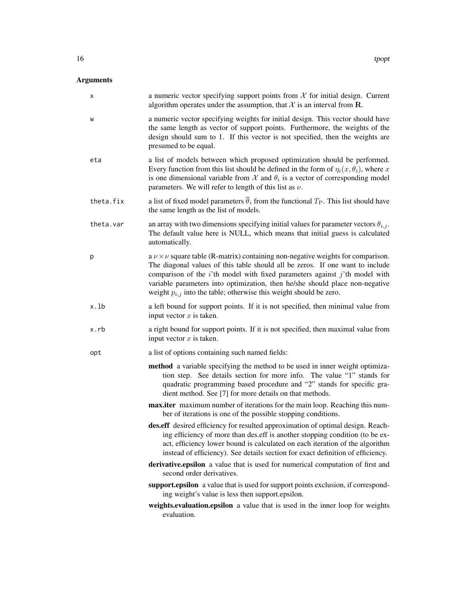## Arguments

| х         | a numeric vector specifying support points from $X$ for initial design. Current<br>algorithm operates under the assumption, that $X$ is an interval from $\mathbf R$ .                                                                                                                                                                                                                                                    |
|-----------|---------------------------------------------------------------------------------------------------------------------------------------------------------------------------------------------------------------------------------------------------------------------------------------------------------------------------------------------------------------------------------------------------------------------------|
| W         | a numeric vector specifying weights for initial design. This vector should have<br>the same length as vector of support points. Furthermore, the weights of the<br>design should sum to 1. If this vector is not specified, then the weights are<br>presumed to be equal.                                                                                                                                                 |
| eta       | a list of models between which proposed optimization should be performed.<br>Every function from this list should be defined in the form of $\eta_i(x, \theta_i)$ , where x<br>is one dimensional variable from $\mathcal X$ and $\theta_i$ is a vector of corresponding model<br>parameters. We will refer to length of this list as $\nu$ .                                                                             |
| theta.fix | a list of fixed model parameters $\overline{\theta}_i$ from the functional $T_P$ . This list should have<br>the same length as the list of models.                                                                                                                                                                                                                                                                        |
| theta.var | an array with two dimensions specifying initial values for parameter vectors $\theta_{i,j}$ .<br>The default value here is NULL, which means that initial guess is calculated<br>automatically.                                                                                                                                                                                                                           |
| р         | a $\nu \times \nu$ square table (R-matrix) containing non-negative weights for comparison.<br>The diagonal values of this table should all be zeros. If one want to include<br>comparison of the $i$ 'th model with fixed parameters against $j$ 'th model with<br>variable parameters into optimization, then he/she should place non-negative<br>weight $p_{i,j}$ into the table; otherwise this weight should be zero. |
| x.lb      | a left bound for support points. If it is not specified, then minimal value from<br>input vector $x$ is taken.                                                                                                                                                                                                                                                                                                            |
| x.rb      | a right bound for support points. If it is not specified, then maximal value from<br>input vector $x$ is taken.                                                                                                                                                                                                                                                                                                           |
| opt       | a list of options containing such named fields:                                                                                                                                                                                                                                                                                                                                                                           |
|           | <b>method</b> a variable specifying the method to be used in inner weight optimiza-<br>tion step. See details section for more info. The value "1" stands for<br>quadratic programming based procedure and "2" stands for specific gra-<br>dient method. See [7] for more details on that methods.                                                                                                                        |
|           | max.iter maximum number of iterations for the main loop. Reaching this num-<br>ber of iterations is one of the possible stopping conditions.                                                                                                                                                                                                                                                                              |
|           | des.eff desired efficiency for resulted approximation of optimal design. Reach-<br>ing efficiency of more than des. eff is another stopping condition (to be ex-<br>act, efficiency lower bound is calculated on each iteration of the algorithm<br>instead of efficiency). See details section for exact definition of efficiency.                                                                                       |
|           | derivative.epsilon a value that is used for numerical computation of first and<br>second order derivatives.                                                                                                                                                                                                                                                                                                               |
|           | support.epsilon a value that is used for support points exclusion, if correspond-<br>ing weight's value is less then support.epsilon.                                                                                                                                                                                                                                                                                     |
|           | weights.evaluation.epsilon a value that is used in the inner loop for weights<br>evaluation.                                                                                                                                                                                                                                                                                                                              |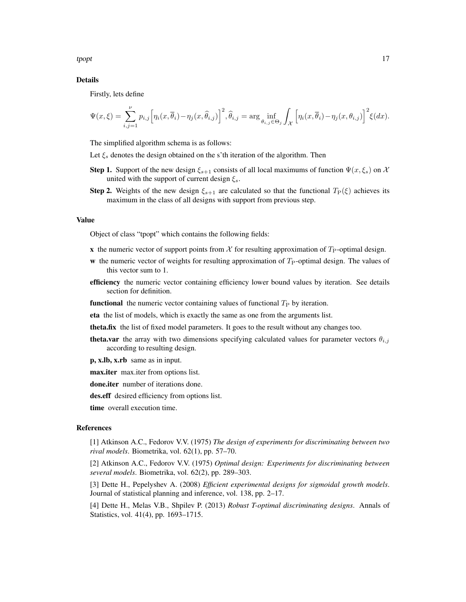tpopt that the state of the state of the state of the state of the state of the state of the state of the state of the state of the state of the state of the state of the state of the state of the state of the state of the

## Details

Firstly, lets define

$$
\Psi(x,\xi) = \sum_{i,j=1}^{\nu} p_{i,j} \left[ \eta_i(x,\overline{\theta}_i) - \eta_j(x,\widehat{\theta}_{i,j}) \right]^2, \widehat{\theta}_{i,j} = \arg \inf_{\theta_{i,j} \in \Theta_j} \int_{\mathcal{X}} \left[ \eta_i(x,\overline{\theta}_i) - \eta_j(x,\theta_{i,j}) \right]^2 \xi(dx).
$$

The simplified algorithm schema is as follows:

Let  $\xi_s$  denotes the design obtained on the s'th iteration of the algorithm. Then

- **Step 1.** Support of the new design  $\xi_{s+1}$  consists of all local maximums of function  $\Psi(x,\xi_s)$  on X united with the support of current design  $\xi_s$ .
- **Step 2.** Weights of the new design  $\xi_{s+1}$  are calculated so that the functional  $T_{\rm P}(\xi)$  achieves its maximum in the class of all designs with support from previous step.

#### Value

Object of class "tpopt" which contains the following fields:

- x the numeric vector of support points from  $X$  for resulting approximation of  $T_{\rm P}$ -optimal design.
- w the numeric vector of weights for resulting approximation of  $T_{\rm P}$ -optimal design. The values of this vector sum to 1.
- efficiency the numeric vector containing efficiency lower bound values by iteration. See details section for definition.
- **functional** the numeric vector containing values of functional  $T<sub>P</sub>$  by iteration.
- eta the list of models, which is exactly the same as one from the arguments list.
- theta.fix the list of fixed model parameters. It goes to the result without any changes too.
- **theta.var** the array with two dimensions specifying calculated values for parameter vectors  $\theta_{i,j}$ according to resulting design.
- p, x.lb, x.rb same as in input.
- max.iter max.iter from options list.

done.iter number of iterations done.

des.eff desired efficiency from options list.

time overall execution time.

#### References

[1] Atkinson A.C., Fedorov V.V. (1975) *The design of experiments for discriminating between two rival models*. Biometrika, vol. 62(1), pp. 57–70.

[2] Atkinson A.C., Fedorov V.V. (1975) *Optimal design: Experiments for discriminating between several models*. Biometrika, vol. 62(2), pp. 289–303.

[3] Dette H., Pepelyshev A. (2008) *Efficient experimental designs for sigmoidal growth models*. Journal of statistical planning and inference, vol. 138, pp. 2–17.

[4] Dette H., Melas V.B., Shpilev P. (2013) *Robust T-optimal discriminating designs*. Annals of Statistics, vol. 41(4), pp. 1693–1715.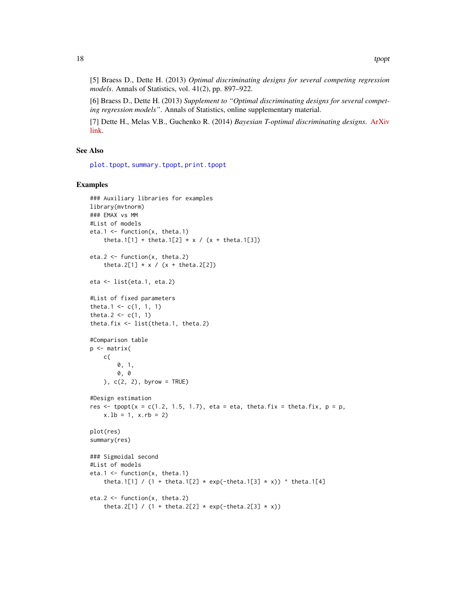<span id="page-17-0"></span>[5] Braess D., Dette H. (2013) *Optimal discriminating designs for several competing regression models*. Annals of Statistics, vol. 41(2), pp. 897–922.

[6] Braess D., Dette H. (2013) *Supplement to "Optimal discriminating designs for several competing regression models"*. Annals of Statistics, online supplementary material.

[7] Dette H., Melas V.B., Guchenko R. (2014) *Bayesian T-optimal discriminating designs*. [ArXiv](http://arxiv.org/abs/1412.2548) [link.](http://arxiv.org/abs/1412.2548)

### See Also

[plot.tpopt](#page-10-1), [summary.tpopt](#page-13-2), [print.tpopt](#page-12-1)

#### Examples

```
### Auxiliary libraries for examples
library(mvtnorm)
### EMAX vs MM
#List of models
eta.1 <- function(x, theta.1)
    theta.1[1] + theta.1[2] * x / (x + theta.1[3])
eta.2 \leftarrow function(x, theta.2)
    theta.2[1] * x / (x + \text{theta.2}[2])eta <- list(eta.1, eta.2)
#List of fixed parameters
theta.1 <- c(1, 1, 1)theta.2 <- c(1, 1)theta.fix <- list(theta.1, theta.2)
#Comparison table
p <- matrix(
    c(
        0, 1,
        0, 0
    ), c(2, 2), byrow = TRUE)
#Design estimation
res \le tpopt(x = c(1.2, 1.5, 1.7), eta = eta, theta.fix = theta.fix, p = p,
    x.1b = 1, x.rb = 2plot(res)
summary(res)
### Sigmoidal second
#List of models
eta.1 <- function(x, theta.1)
    theta.1[1] / (1 + \text{theta.1}[2] \times \exp(-\text{theta.1}[3] \times x)) ^ theta.1[4]
eta.2 <- function(x, theta.2)
    theta.2[1] / (1 + \text{theta.2}[2] \times \exp(-\text{theta.2}[3] \times x))
```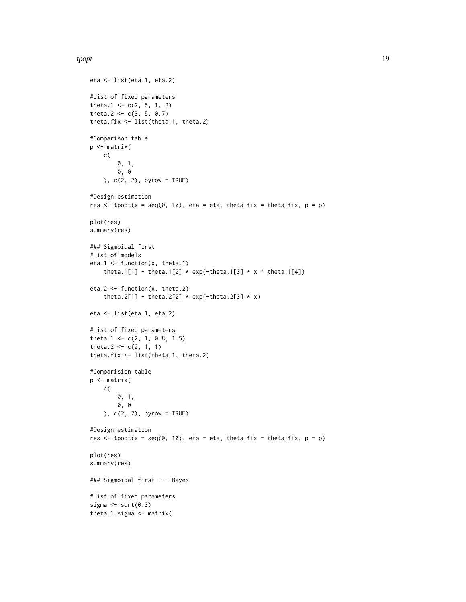#### tpopt the state of the state of the state of the state of the state of the state of the state of the state of the state of the state of the state of the state of the state of the state of the state of the state of the stat

```
eta <- list(eta.1, eta.2)
#List of fixed parameters
theta.1 <- c(2, 5, 1, 2)theta.2 <- c(3, 5, 0.7)theta.fix <- list(theta.1, theta.2)
#Comparison table
p <- matrix(
   c(
       0, 1,
       0, 0
   ), c(2, 2), byrow = TRUE)
#Design estimation
res \le tpopt(x = seq(0, 10), eta = eta, theta.fix = theta.fix, p = p)
plot(res)
summary(res)
### Sigmoidal first
#List of models
eta.1 <- function(x, theta.1)
    theta.1[1] - theta.1[2] * exp(-theta.1[3] * x * theta.1[4])
eta.2 <- function(x, theta.2)
    theta.2[1] - theta.2[2] * exp(-theta.2[3] * x)
eta <- list(eta.1, eta.2)
#List of fixed parameters
theta.1 <- c(2, 1, 0.8, 1.5)
theta.2 <- c(2, 1, 1)theta.fix <- list(theta.1, theta.2)
#Comparision table
p <- matrix(
    c(
        0, 1,
       0, 0
   ), c(2, 2), byrow = TRUE)
#Design estimation
res \le tpopt(x = seq(0, 10), eta = eta, theta.fix = theta.fix, p = p)
plot(res)
summary(res)
### Sigmoidal first --- Bayes
#List of fixed parameters
sigma \leq sqrt(0.3)theta.1.sigma <- matrix(
```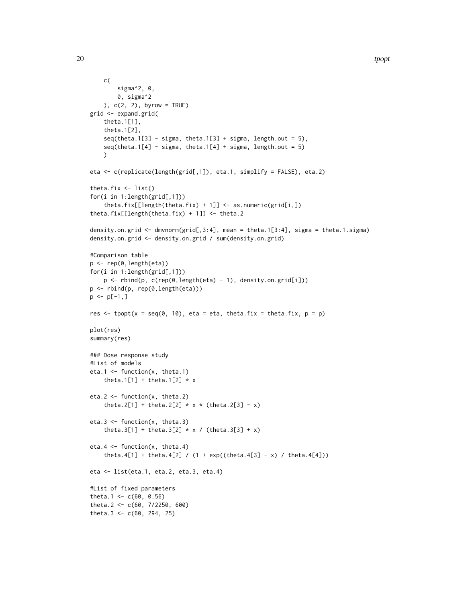```
c(
        sigma^2, 0,
        0, sigma^2
    ), c(2, 2), byrow = TRUE)
grid <- expand.grid(
    theta.1[1],
    theta.1[2],
    seq(theta.1[3] - sigma, theta.1[3] + sigma, length.out = 5),seq(theta.1[4] - sigma, theta.1[4] + sigma, length.out = 5)\lambdaeta <- c(replicate(length(grid[,1]), eta.1, simplify = FALSE), eta.2)
theta.fix <- list()
for(i in 1:length(grid[,1]))
    theta.fix[[length(theta.fix) + 1]] <- as.numeric(grid[i,])
theta.fix[[length(theta.fix) + 1]] <- theta.2
density.on.grid <- dmvnorm(grid[,3:4], mean = theta.1[3:4], sigma = theta.1.sigma)
density.on.grid <- density.on.grid / sum(density.on.grid)
#Comparison table
p <- rep(0,length(eta))
for(i in 1:length(grid[,1]))
    p <- rbind(p, c(rep(0,length(eta) - 1), density.on.grid[i]))
p <- rbind(p, rep(0,length(eta)))
p \leftarrow p[-1, ]res \le tpopt(x = seq(0, 10), eta = eta, theta.fix = theta.fix, p = p)
plot(res)
summary(res)
### Dose response study
#List of models
eta.1 <- function(x, theta.1)
    theta.1[1] + theta.1[2] \star x
eta.2 <- function(x, theta.2)
    theta.2[1] + theta.2[2] * x * (theta.2[3] - x)
eta.3 <- function(x, theta.3)
    theta.3[1] + theta.3[2] * x / (theta.3[3] + x)
eta.4 \leftarrow function(x, theta.4)
    theta.4[1] + theta.4[2] / (1 + \exp((theta.4[3] - x) /theta.4[4]))eta <- list(eta.1, eta.2, eta.3, eta.4)
#List of fixed parameters
theta.1 <- c(60, 0.56)theta.2 <- c(60, 7/2250, 600)
theta.3 <- c(60, 294, 25)
```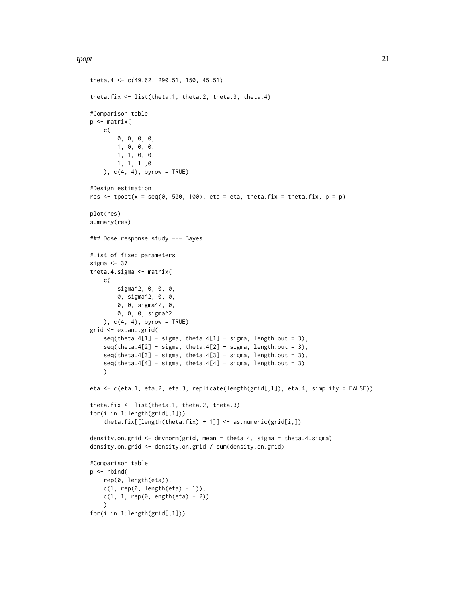```
theta.4 <- c(49.62, 290.51, 150, 45.51)
theta.fix <- list(theta.1, theta.2, theta.3, theta.4)
#Comparison table
p <- matrix(
   c(
        0, 0, 0, 0,
       1, 0, 0, 0,
       1, 1, 0, 0,
       1, 1, 1 ,0
   ), c(4, 4), byrow = TRUE)
#Design estimation
res \le tpopt(x = seq(0, 500, 100), eta = eta, theta.fix = theta.fix, p = p)
plot(res)
summary(res)
### Dose response study --- Bayes
#List of fixed parameters
sigma <-37theta.4.sigma <- matrix(
   c(
       sigma^2, 0, 0, 0,
        0, sigma^2, 0, 0,
       0, 0, sigma^2, 0,
       0, 0, 0, sigma^2
   ), c(4, 4), byrow = TRUE)
grid <- expand.grid(
    seq(theta.4[1] - sigma, theta.4[1] + sigma, length.out = 3),seq(theta.4[2] - sigma, theta.4[2] + sigma, length.out = 3),seq(theta.4[3] - sigma, theta.4[3] + sigma, length.out = 3),seq(theta.4[4] - sigma, theta.4[4] + sigma, length.out = 3))
eta <- c(eta.1, eta.2, eta.3, replicate(length(grid[,1]), eta.4, simplify = FALSE))
theta.fix <- list(theta.1, theta.2, theta.3)
for(i in 1:length(grid[,1]))
    theta.fix[[length(theta.fix) + 1]] <- as.numeric(grid[i,])
density.on.grid <- dmvnorm(grid, mean = theta.4, sigma = theta.4.sigma)
density.on.grid <- density.on.grid / sum(density.on.grid)
#Comparison table
p \leftarrow \text{rbind}(rep(0, length(eta)),
   c(1, rep(0, length(eta) - 1)),c(1, 1, rep(0,length(eta) - 2)))
for(i in 1:length(grid[,1]))
```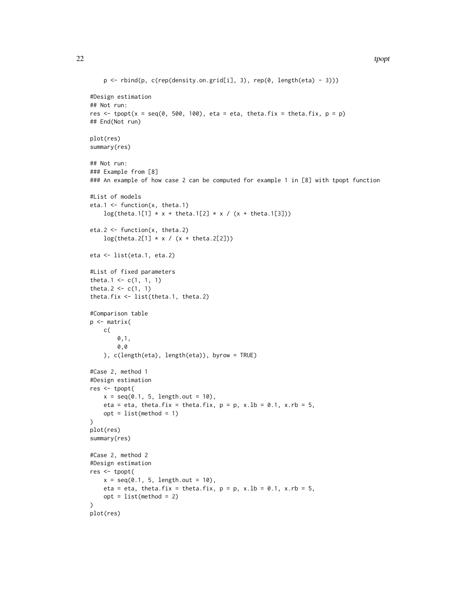```
p \leftarrow \text{rbind}(p, c(\text{rep}(density,on.get[i], 3), rep(0, length(eta) - 3)))#Design estimation
## Not run:
res \le tpopt(x = seq(0, 500, 100), eta = eta, theta.fix = theta.fix, p = p)
## End(Not run)
plot(res)
summary(res)
## Not run:
### Example from [8]
### An example of how case 2 can be computed for example 1 in [8] with tpopt function
#List of models
eta.1 <- function(x, theta.1)
    log(theta.1[1] * x + theta.1[2] * x / (x + theta.1[3]))eta.2 <- function(x, theta.2)
    log(theta.2[1] * x / (x + theta.2[2]))eta <- list(eta.1, eta.2)
#List of fixed parameters
theta.1 <- c(1, 1, 1)theta.2 <- c(1, 1)theta.fix <- list(theta.1, theta.2)
#Comparison table
p <- matrix(
   c(
        0,1,0,0
   ), c(length(eta), length(eta)), byrow = TRUE)
#Case 2, method 1
#Design estimation
res <- tpopt(
    x = seq(0.1, 5, length.out = 10),eta = eta, theta.fix = theta.fix, p = p, x.lb = 0.1, x.rb = 5,
   opt = list(method = 1))
plot(res)
summary(res)
#Case 2, method 2
#Design estimation
res <- tpopt(
   x = seq(0.1, 5, length.out = 10),
   eta = eta, theta.fix = theta.fix, p = p, x.lb = 0.1, x.rb = 5,
   opt = list(method = 2))
plot(res)
```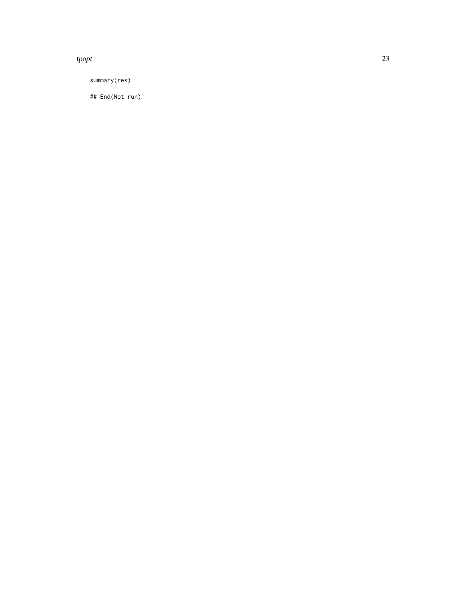## tpopt that the contract of the contract of the contract of the contract of the contract of the contract of the contract of the contract of the contract of the contract of the contract of the contract of the contract of the

summary(res)

## End(Not run)